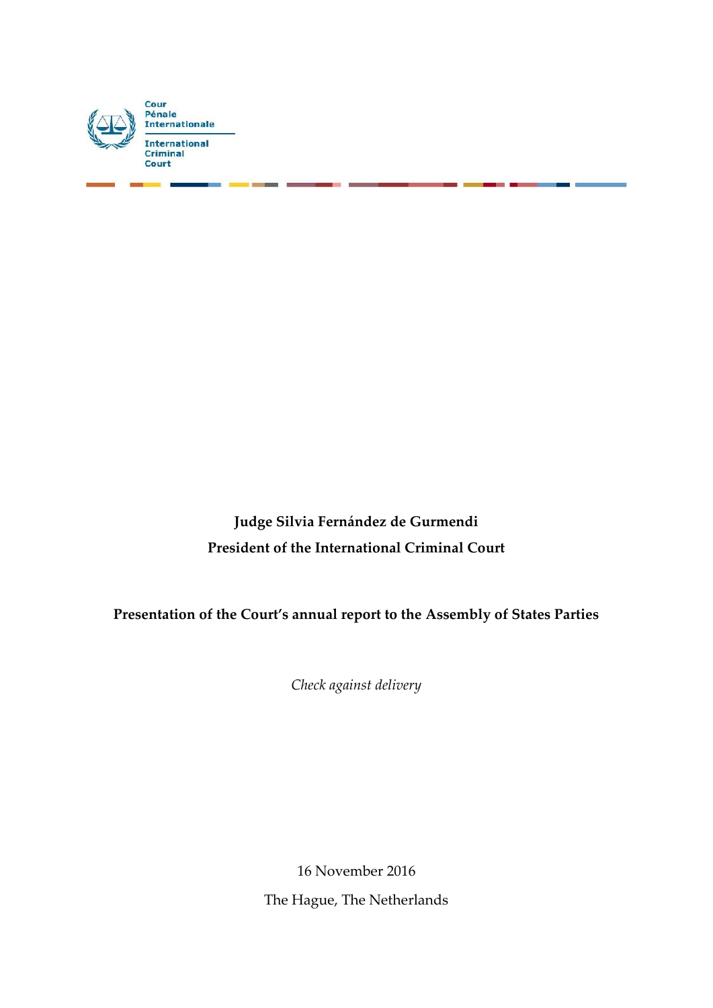

**Judge Silvia Fernández de Gurmendi President of the International Criminal Court**

**Presentation of the Court's annual report to the Assembly of States Parties**

*Check against delivery*

16 November 2016 The Hague, The Netherlands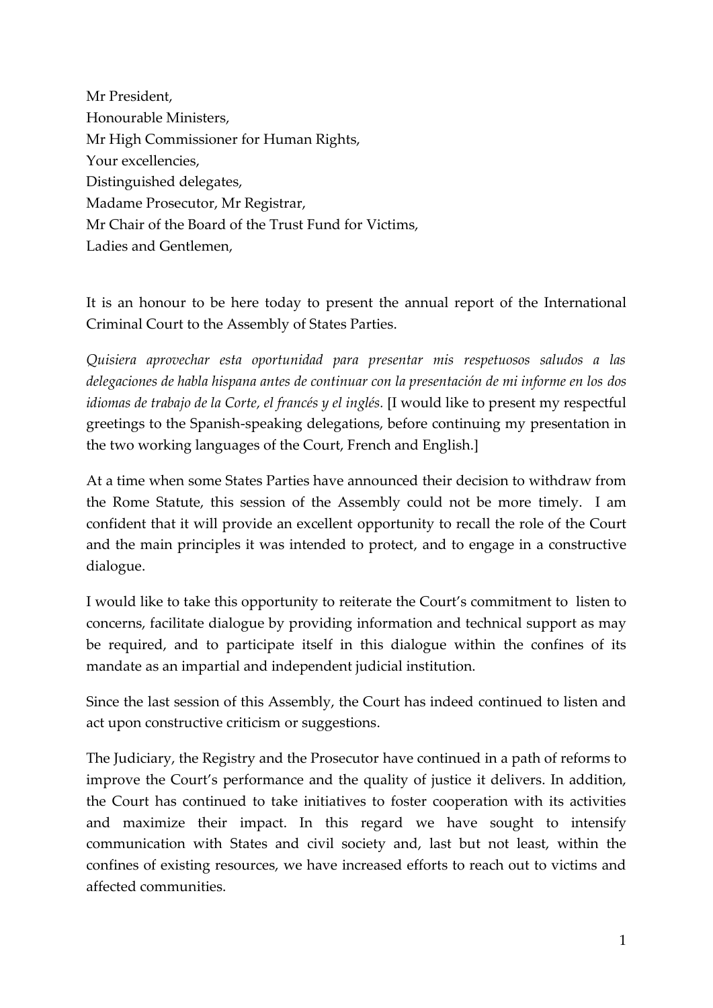Mr President, Honourable Ministers, Mr High Commissioner for Human Rights, Your excellencies, Distinguished delegates, Madame Prosecutor, Mr Registrar, Mr Chair of the Board of the Trust Fund for Victims, Ladies and Gentlemen,

It is an honour to be here today to present the annual report of the International Criminal Court to the Assembly of States Parties.

*Quisiera aprovechar esta oportunidad para presentar mis respetuosos saludos a las delegaciones de habla hispana antes de continuar con la presentación de mi informe en los dos idiomas de trabajo de la Corte, el francés y el inglés.* [I would like to present my respectful greetings to the Spanish-speaking delegations, before continuing my presentation in the two working languages of the Court, French and English.]

At a time when some States Parties have announced their decision to withdraw from the Rome Statute, this session of the Assembly could not be more timely. I am confident that it will provide an excellent opportunity to recall the role of the Court and the main principles it was intended to protect, and to engage in a constructive dialogue.

I would like to take this opportunity to reiterate the Court's commitment to listen to concerns, facilitate dialogue by providing information and technical support as may be required, and to participate itself in this dialogue within the confines of its mandate as an impartial and independent judicial institution.

Since the last session of this Assembly, the Court has indeed continued to listen and act upon constructive criticism or suggestions.

The Judiciary, the Registry and the Prosecutor have continued in a path of reforms to improve the Court's performance and the quality of justice it delivers. In addition, the Court has continued to take initiatives to foster cooperation with its activities and maximize their impact. In this regard we have sought to intensify communication with States and civil society and, last but not least, within the confines of existing resources, we have increased efforts to reach out to victims and affected communities.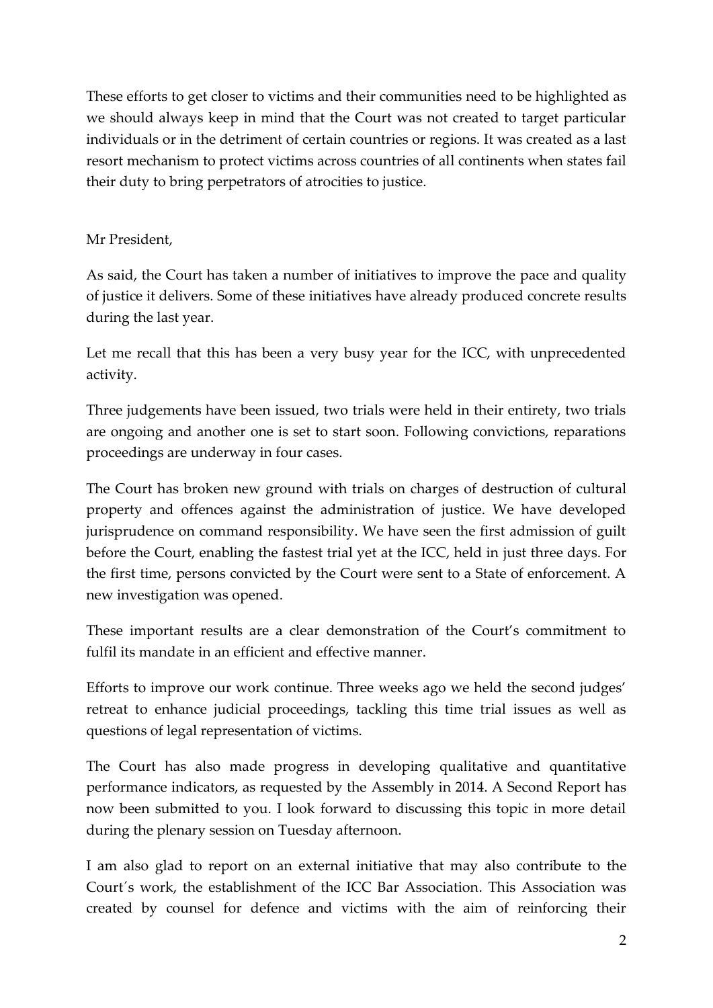These efforts to get closer to victims and their communities need to be highlighted as we should always keep in mind that the Court was not created to target particular individuals or in the detriment of certain countries or regions. It was created as a last resort mechanism to protect victims across countries of all continents when states fail their duty to bring perpetrators of atrocities to justice.

### Mr President,

As said, the Court has taken a number of initiatives to improve the pace and quality of justice it delivers. Some of these initiatives have already produced concrete results during the last year.

Let me recall that this has been a very busy year for the ICC, with unprecedented activity.

Three judgements have been issued, two trials were held in their entirety, two trials are ongoing and another one is set to start soon. Following convictions, reparations proceedings are underway in four cases.

The Court has broken new ground with trials on charges of destruction of cultural property and offences against the administration of justice. We have developed jurisprudence on command responsibility. We have seen the first admission of guilt before the Court, enabling the fastest trial yet at the ICC, held in just three days. For the first time, persons convicted by the Court were sent to a State of enforcement. A new investigation was opened.

These important results are a clear demonstration of the Court's commitment to fulfil its mandate in an efficient and effective manner.

Efforts to improve our work continue. Three weeks ago we held the second judges' retreat to enhance judicial proceedings, tackling this time trial issues as well as questions of legal representation of victims.

The Court has also made progress in developing qualitative and quantitative performance indicators, as requested by the Assembly in 2014. A Second Report has now been submitted to you. I look forward to discussing this topic in more detail during the plenary session on Tuesday afternoon.

I am also glad to report on an external initiative that may also contribute to the Court´s work, the establishment of the ICC Bar Association. This Association was created by counsel for defence and victims with the aim of reinforcing their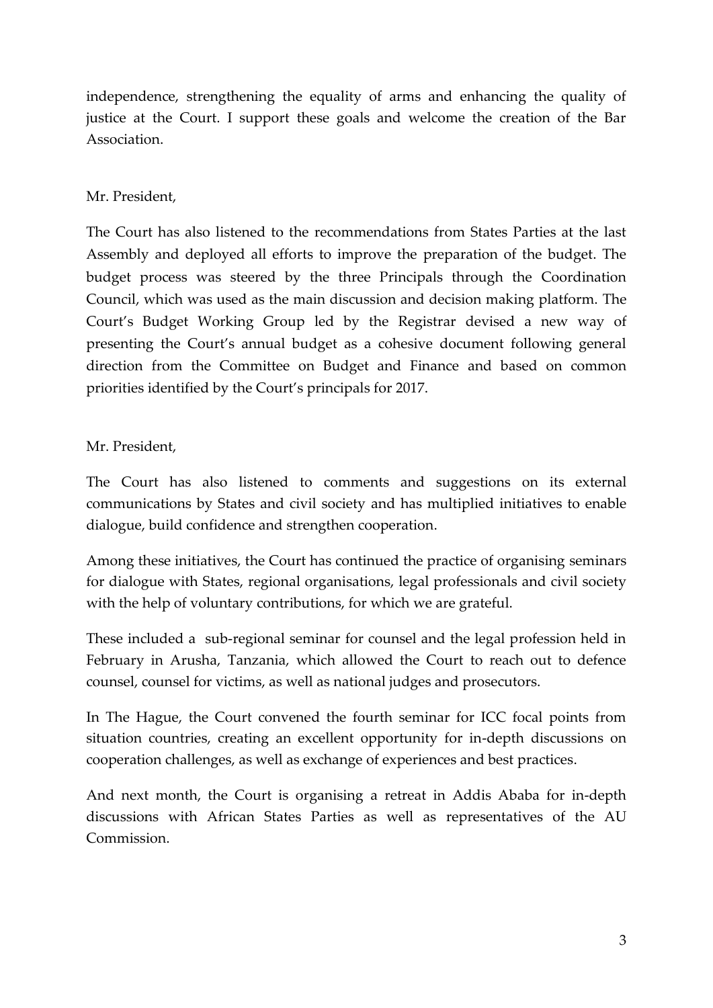independence, strengthening the equality of arms and enhancing the quality of justice at the Court. I support these goals and welcome the creation of the Bar Association.

### Mr. President,

The Court has also listened to the recommendations from States Parties at the last Assembly and deployed all efforts to improve the preparation of the budget. The budget process was steered by the three Principals through the Coordination Council, which was used as the main discussion and decision making platform. The Court's Budget Working Group led by the Registrar devised a new way of presenting the Court's annual budget as a cohesive document following general direction from the Committee on Budget and Finance and based on common priorities identified by the Court's principals for 2017.

# Mr. President,

The Court has also listened to comments and suggestions on its external communications by States and civil society and has multiplied initiatives to enable dialogue, build confidence and strengthen cooperation.

Among these initiatives, the Court has continued the practice of organising seminars for dialogue with States, regional organisations, legal professionals and civil society with the help of voluntary contributions, for which we are grateful.

These included a sub-regional seminar for counsel and the legal profession held in February in Arusha, Tanzania, which allowed the Court to reach out to defence counsel, counsel for victims, as well as national judges and prosecutors.

In The Hague, the Court convened the fourth seminar for ICC focal points from situation countries, creating an excellent opportunity for in-depth discussions on cooperation challenges, as well as exchange of experiences and best practices.

And next month, the Court is organising a retreat in Addis Ababa for in-depth discussions with African States Parties as well as representatives of the AU Commission.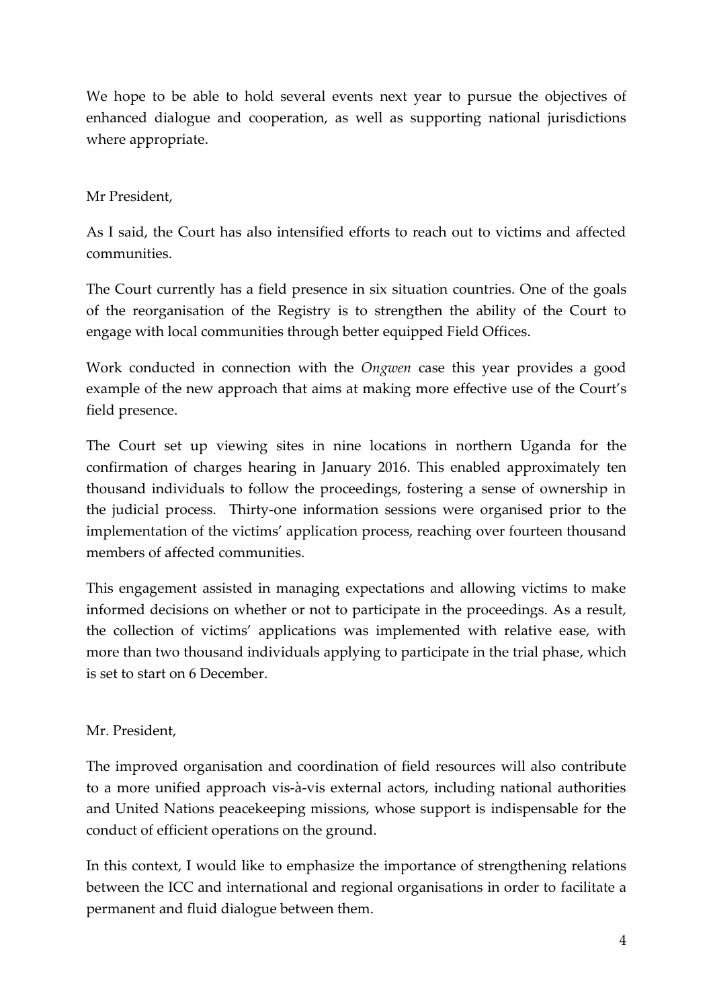We hope to be able to hold several events next year to pursue the objectives of enhanced dialogue and cooperation, as well as supporting national jurisdictions where appropriate.

# Mr President,

As I said, the Court has also intensified efforts to reach out to victims and affected communities.

The Court currently has a field presence in six situation countries. One of the goals of the reorganisation of the Registry is to strengthen the ability of the Court to engage with local communities through better equipped Field Offices.

Work conducted in connection with the *Ongwen* case this year provides a good example of the new approach that aims at making more effective use of the Court's field presence.

The Court set up viewing sites in nine locations in northern Uganda for the confirmation of charges hearing in January 2016. This enabled approximately ten thousand individuals to follow the proceedings, fostering a sense of ownership in the judicial process. Thirty-one information sessions were organised prior to the implementation of the victims' application process, reaching over fourteen thousand members of affected communities.

This engagement assisted in managing expectations and allowing victims to make informed decisions on whether or not to participate in the proceedings. As a result, the collection of victims' applications was implemented with relative ease, with more than two thousand individuals applying to participate in the trial phase, which is set to start on 6 December.

# Mr. President,

The improved organisation and coordination of field resources will also contribute to a more unified approach vis-à-vis external actors, including national authorities and United Nations peacekeeping missions, whose support is indispensable for the conduct of efficient operations on the ground.

In this context, I would like to emphasize the importance of strengthening relations between the ICC and international and regional organisations in order to facilitate a permanent and fluid dialogue between them.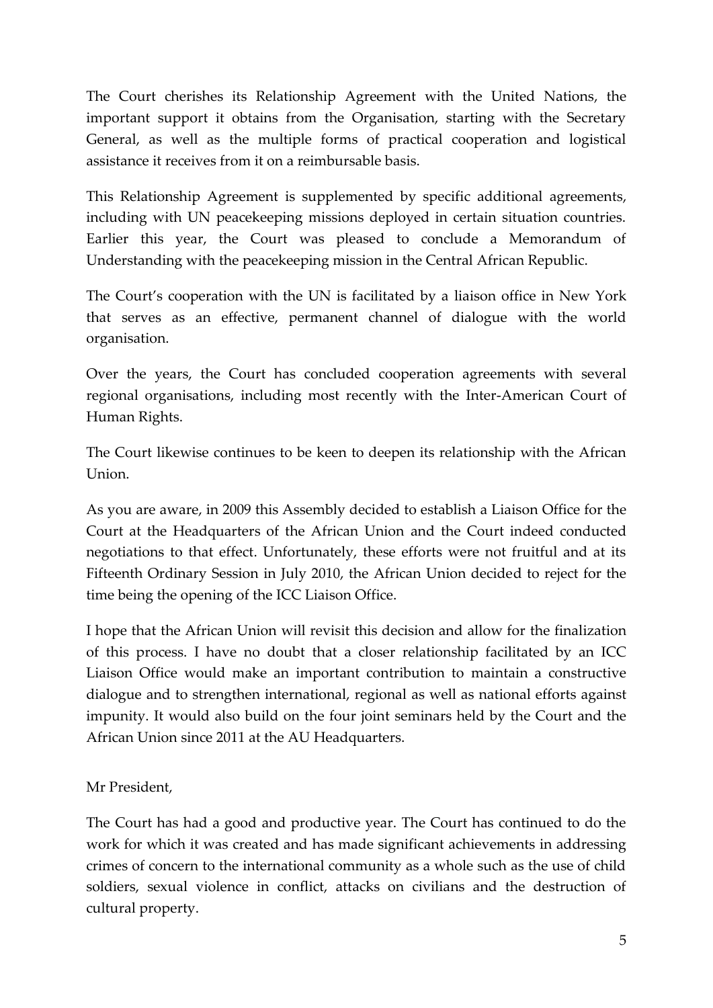The Court cherishes its Relationship Agreement with the United Nations, the important support it obtains from the Organisation, starting with the Secretary General, as well as the multiple forms of practical cooperation and logistical assistance it receives from it on a reimbursable basis.

This Relationship Agreement is supplemented by specific additional agreements, including with UN peacekeeping missions deployed in certain situation countries. Earlier this year, the Court was pleased to conclude a Memorandum of Understanding with the peacekeeping mission in the Central African Republic.

The Court's cooperation with the UN is facilitated by a liaison office in New York that serves as an effective, permanent channel of dialogue with the world organisation.

Over the years, the Court has concluded cooperation agreements with several regional organisations, including most recently with the Inter-American Court of Human Rights.

The Court likewise continues to be keen to deepen its relationship with the African Union.

As you are aware, in 2009 this Assembly decided to establish a Liaison Office for the Court at the Headquarters of the African Union and the Court indeed conducted negotiations to that effect. Unfortunately, these efforts were not fruitful and at its Fifteenth Ordinary Session in July 2010, the African Union decided to reject for the time being the opening of the ICC Liaison Office.

I hope that the African Union will revisit this decision and allow for the finalization of this process. I have no doubt that a closer relationship facilitated by an ICC Liaison Office would make an important contribution to maintain a constructive dialogue and to strengthen international, regional as well as national efforts against impunity. It would also build on the four joint seminars held by the Court and the African Union since 2011 at the AU Headquarters.

Mr President,

The Court has had a good and productive year. The Court has continued to do the work for which it was created and has made significant achievements in addressing crimes of concern to the international community as a whole such as the use of child soldiers, sexual violence in conflict, attacks on civilians and the destruction of cultural property.